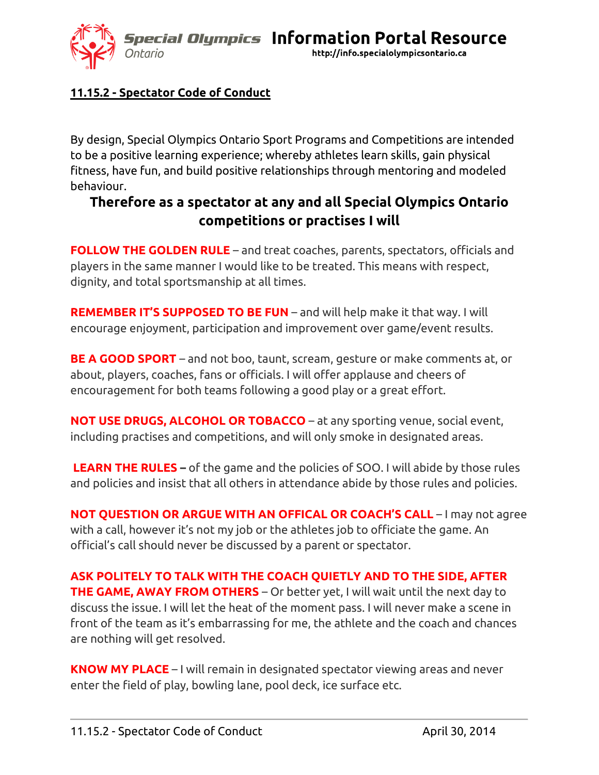**Special Olympics Information Portal Resource** 



http://info.specialolympicsontario.ca

## **11.15.2 - Spectator Code of Conduct**

By design, Special Olympics Ontario Sport Programs and Competitions are intended to be a positive learning experience; whereby athletes learn skills, gain physical fitness, have fun, and build positive relationships through mentoring and modeled behaviour.

## **Therefore as a spectator at any and all Special Olympics Ontario competitions or practises I will**

**FOLLOW THE GOLDEN RULE** – and treat coaches, parents, spectators, officials and players in the same manner I would like to be treated. This means with respect, dignity, and total sportsmanship at all times.

**REMEMBER IT'S SUPPOSED TO BE FUN** – and will help make it that way. I will encourage enjoyment, participation and improvement over game/event results.

**BE A GOOD SPORT** – and not boo, taunt, scream, gesture or make comments at, or about, players, coaches, fans or officials. I will offer applause and cheers of encouragement for both teams following a good play or a great effort.

**NOT USE DRUGS, ALCOHOL OR TOBACCO** – at any sporting venue, social event, including practises and competitions, and will only smoke in designated areas.

**LEARN THE RULES –** of the game and the policies of SOO. I will abide by those rules and policies and insist that all others in attendance abide by those rules and policies.

**NOT QUESTION OR ARGUE WITH AN OFFICAL OR COACH'S CALL** – I may not agree with a call, however it's not my job or the athletes job to officiate the game. An official's call should never be discussed by a parent or spectator.

**ASK POLITELY TO TALK WITH THE COACH QUIETLY AND TO THE SIDE, AFTER THE GAME, AWAY FROM OTHERS** – Or better yet, I will wait until the next day to discuss the issue. I will let the heat of the moment pass. I will never make a scene in front of the team as it's embarrassing for me, the athlete and the coach and chances are nothing will get resolved.

**KNOW MY PLACE** – I will remain in designated spectator viewing areas and never enter the field of play, bowling lane, pool deck, ice surface etc.